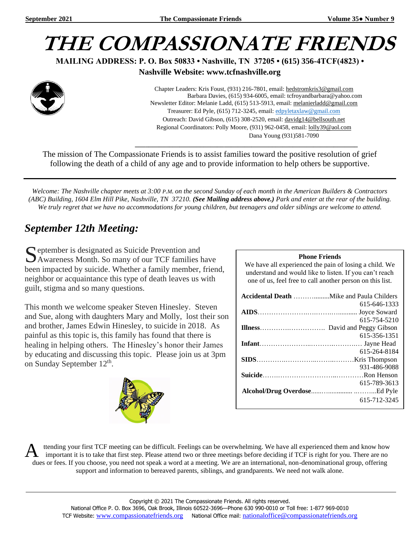

**MAILING ADDRESS: P. O. Box 50833 • Nashville, TN 37205 • (615) 356-4TCF(4823) •**

**Nashville Website: www.tcfnashville.org**



 Chapter Leaders: Kris Foust, (931) 216-7801, email: [hedstromkris3@gmail.com](mailto:hedstromkris3@gmail.com) Barbara Davies, (615) 934-6005, email: tcfroyandbarbara@yahoo.com Newsletter Editor: Melanie Ladd, (615) 513-5913, email[: melanierladd@gmail.com](mailto:melanierladd@gmail.com)  Treasurer: Ed Pyle, (615) 712-3245, email[: edpyletaxlaw@gmail.com](mailto:edpyletaxlaw@gmail.com) Outreach: David Gibson, (615) 308-2520, email: davidg14@bellsouth.net Regional Coordinators: Polly Moore, (931) 962-0458, email[: lolly39@aol.com](mailto:lolly39@aol.com) Dana Young (931)581-7090

*\_\_\_\_\_\_\_\_\_\_\_\_\_\_\_\_\_\_\_\_\_\_\_\_\_\_\_\_\_\_\_\_\_\_\_\_\_\_\_\_\_\_\_\_\_\_\_\_\_\_\_\_\_\_\_\_\_\_\_\_\_\_\_\_\_*

The mission of The Compassionate Friends is to assist families toward the positive resolution of grief following the death of a child of any age and to provide information to help others be supportive.

*Welcome: The Nashville chapter meets at 3:00 P.M. on the second Sunday of each month in the American Builders & Contractors (ABC) Building, 1604 Elm Hill Pike, Nashville, TN 37210. (See Mailing address above.) Park and enter at the rear of the building. We truly regret that we have no accommodations for young children, but teenagers and older siblings are welcome to attend.*

# *September 12th Meeting:*

S eptember is designated as Suicide Prevention and<br>Awareness Month. So many of our TCF families h Awareness Month. So many of our TCF families have been impacted by suicide. Whether a family member, friend, neighbor or acquaintance this type of death leaves us with guilt, stigma and so many questions.

This month we welcome speaker Steven Hinesley. Steven and Sue, along with daughters Mary and Molly, lost their son and brother, James Edwin Hinesley, to suicide in 2018. As painful as this topic is, this family has found that there is healing in helping others. The Hinesley's honor their James by educating and discussing this topic. Please join us at 3pm on Sunday September  $12^{th}$ .



#### **Phone Friends**

We have all experienced the pain of losing a child. We understand and would like to listen. If you can't reach one of us, feel free to call another person on this list.

| 615-646-1333 |
|--------------|
|              |
| 615-754-5210 |
|              |
| 615-356-1351 |
|              |
| 615-264-8184 |
|              |
| 931-486-9088 |
|              |
| 615-789-3613 |
|              |
| 615-712-3245 |

ttending your first TCF meeting can be difficult. Feelings can be overwhelming. We have all experienced them and know how important it is to take that first step. Please attend two or three meetings before deciding if TCF is right for you. There are no dues or fees. If you choose, you need not speak a word at a meeting. We are an international, non-denominational group, offering support and information to bereaved parents, siblings, and grandparents. We need not walk alone. A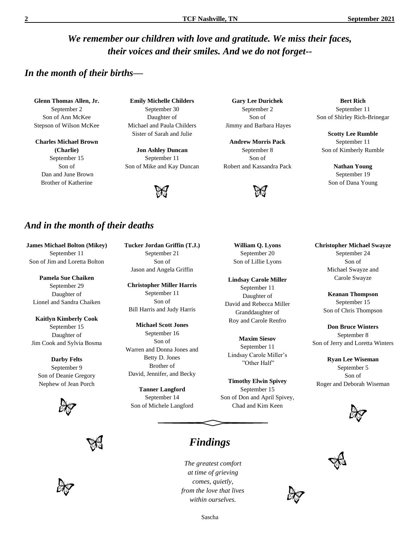# *We remember our children with love and gratitude. We miss their faces, their voices and their smiles. And we do not forget--*

#### *In the month of their births—*

**Glenn Thomas Allen, Jr.** September 2 Son of Ann McKee Stepson of Wilson McKee

**Charles Michael Brown (Charlie)** September 15 Son of Dan and June Brown Brother of Katherine

**Emily Michelle Childers** September 30 Daughter of Michael and Paula Childers Sister of Sarah and Julie

**Jon Ashley Duncan** September 11 Son of Mike and Kay Duncan



#### *And in the month of their deaths*

**James Michael Bolton (Mikey)** September 11 Son of Jim and Loretta Bolton

**Pamela Sue Chaiken** September 29 Daughter of Lionel and Sandra Chaiken

**Kaitlyn Kimberly Cook** September 15 Daughter of Jim Cook and Sylvia Bosma

**Darby Felts** September 9 Son of Deanie Gregory Nephew of Jean Porch







**Tucker Jordan Griffin (T.J.)** September 21 Son of Jason and Angela Griffin

**Christopher Miller Harris** September 11 Son of Bill Harris and Judy Harris

**Michael Scott Jones** September 16 Son of Warren and Donna Jones and Betty D. Jones Brother of David, Jennifer, and Becky

**Tanner Langford** September 14 Son of Michele Langford

*Findings*

*The greatest comfort at time of grieving comes, quietly, from the love that lives within ourselves.*

Sascha

**Gary Lee Durichek** September 2 Son of Jimmy and Barbara Hayes

**Andrew Morris Pack** September 8 Son of Robert and Kassandra Pack



**William Q. Lyons** September 20 Son of Lillie Lyons

**Lindsay Carole Miller** September 11 Daughter of David and Rebecca Miller Granddaughter of Roy and Carole Renfro

**Maxim Siesov** September 11 Lindsay Carole Miller's "Other Half"

**Timothy Elwin Spivey** September 15 Son of Don and April Spivey, Chad and Kim Keen

**Bert Rich** September 11 Son of Shirley Rich-Brinegar

**Scotty Lee Rumble** September 11 Son of Kimberly Rumble

**Nathan Young** September 19 Son of Dana Young

**Christopher Michael Swayze** September 24 Son of Michael Swayze and

> **Keanan Thompson** September 15 Son of Chris Thompson

Carole Swayze

**Don Bruce Winters** September 8 Son of Jerry and Loretta Winters

**Ryan Lee Wiseman** September 5 Son of Roger and Deborah Wiseman





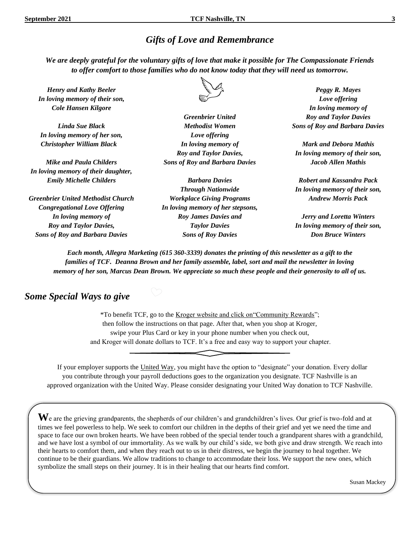# *Gifts of Love and Remembrance*

*We are deeply grateful for the voluntary gifts of love that make it possible for The Compassionate Friends to offer comfort to those families who do not know today that they will need us tomorrow.*

*Henry and Kathy Beeler In loving memory of their son, Cole Hansen Kilgore*

*Linda Sue Black In loving memory of her son, Christopher William Black*

*Mike and Paula Childers In loving memory of their daughter, Emily Michelle Childers*

*Greenbrier United Methodist Church Congregational Love Offering In loving memory of Roy and Taylor Davies, Sons of Roy and Barbara Davies*



*Greenbrier United Methodist Women Love offering In loving memory of Roy and Taylor Davies, Sons of Roy and Barbara Davies*

*Barbara Davies Through Nationwide Workplace Giving Programs In loving memory of her stepsons, Roy James Davies and Taylor Davies Sons of Roy Davies*

*Peggy R. Mayes Love offering In loving memory of Roy and Taylor Davies Sons of Roy and Barbara Davies*

*Mark and Debora Mathis In loving memory of their son, Jacob Allen Mathis*

*Robert and Kassandra Pack In loving memory of their son, Andrew Morris Pack*

*Jerry and Loretta Winters In loving memory of their son, Don Bruce Winters*

*Each month, Allegra Marketing (615 360-3339) donates the printing of this newsletter as a gift to the families of TCF. Deanna Brown and her family assemble, label, sort and mail the newsletter in loving memory of her son, Marcus Dean Brown. We appreciate so much these people and their generosity to all of us.*

#### *Some Special Ways to give*

\*To benefit TCF, go to the Kroger website and click on"Community Rewards"; then follow the instructions on that page. After that, when you shop at Kroger, swipe your Plus Card or key in your phone number when you check out, and Kroger will donate dollars to TCF. It's a free and easy way to support your chapter.

If your employer supports the United Way, you might have the option to "designate" your donation. Every dollar you contribute through your payroll deductions goes to the organization you designate. TCF Nashville is an approved organization with the United Way. Please consider designating your United Way donation to TCF Nashville.

ٔ

 $\bf{W}$ e are the grieving grandparents, the shepherds of our children's and grandchildren's lives. Our grief is two-fold and at times we feel powerless to help. We seek to comfort our children in the depths of their grief and yet we need the time and space to face our own broken hearts. We have been robbed of the special tender touch a grandparent shares with a grandchild, and we have lost a symbol of our immortality. As we walk by our child's side, we both give and draw strength. We reach into their hearts to comfort them, and when they reach out to us in their distress, we begin the journey to heal together. We continue to be their guardians. We allow traditions to change to accommodate their loss. We support the new ones, which symbolize the small steps on their journey. It is in their healing that our hearts find comfort.

Susan Mackey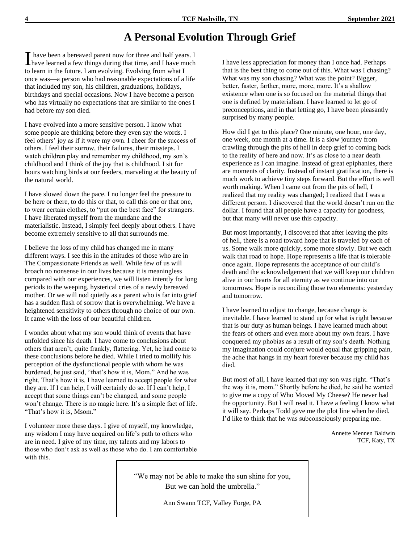# **A Personal Evolution Through Grief**

have been a bereaved parent now for three and half years. I I have been a bereaved parent now for three and half years. I have learned a few things during that time, and I have much to learn in the future. I am evolving. Evolving from what I once was—a person who had reasonable expectations of a life that included my son, his children, graduations, holidays, birthdays and special occasions. Now I have become a person who has virtually no expectations that are similar to the ones I had before my son died.

I have evolved into a more sensitive person. I know what some people are thinking before they even say the words. I feel others' joy as if it were my own. I cheer for the success of others. I feel their sorrow, their failures, their missteps. I watch children play and remember my childhood, my son's childhood and I think of the joy that is childhood. I sit for hours watching birds at our feeders, marveling at the beauty of the natural world.

I have slowed down the pace. I no longer feel the pressure to be here or there, to do this or that, to call this one or that one, to wear certain clothes, to "put on the best face" for strangers. I have liberated myself from the mundane and the materialistic. Instead, I simply feel deeply about others. I have become extremely sensitive to all that surrounds me.

I believe the loss of my child has changed me in many different ways. I see this in the attitudes of those who are in The Compassionate Friends as well. While few of us will broach no nonsense in our lives because it is meaningless compared with our experiences, we will listen intently for long periods to the weeping, hysterical cries of a newly bereaved mother. Or we will nod quietly as a parent who is far into grief has a sudden flash of sorrow that is overwhelming. We have a heightened sensitivity to others through no choice of our own. It came with the loss of our beautiful children.

I wonder about what my son would think of events that have unfolded since his death. I have come to conclusions about others that aren't, quite frankly, flattering. Yet, he had come to these conclusions before he died. While I tried to mollify his perception of the dysfunctional people with whom he was burdened, he just said, "that's how it is, Mom." And he was right. That's how it is. I have learned to accept people for what they are. If I can help, I will certainly do so. If I can't help, I accept that some things can't be changed, and some people won't change. There is no magic here. It's a simple fact of life. "That's how it is, Msom."

I volunteer more these days. I give of myself, my knowledge, any wisdom I may have acquired on life's path to others who are in need. I give of my time, my talents and my labors to those who don't ask as well as those who do. I am comfortable with this.

I have less appreciation for money than I once had. Perhaps that is the best thing to come out of this. What was I chasing? What was my son chasing? What was the point? Bigger, better, faster, farther, more, more, more. It's a shallow existence when one is so focused on the material things that one is defined by materialism. I have learned to let go of preconceptions, and in that letting go, I have been pleasantly surprised by many people.

How did I get to this place? One minute, one hour, one day, one week, one month at a time. It is a slow journey from crawling through the pits of hell in deep grief to coming back to the reality of here and now. It's as close to a near death experience as I can imagine. Instead of great epiphanies, there are moments of clarity. Instead of instant gratification, there is much work to achieve tiny steps forward. But the effort is well worth making. When I came out from the pits of hell, I realized that my reality was changed; I realized that I was a different person. I discovered that the world doesn't run on the dollar. I found that all people have a capacity for goodness, but that many will never use this capacity.

But most importantly, I discovered that after leaving the pits of hell, there is a road toward hope that is traveled by each of us. Some walk more quickly, some more slowly. But we each walk that road to hope. Hope represents a life that is tolerable once again. Hope represents the acceptance of our child's death and the acknowledgement that we will keep our children alive in our hearts for all eternity as we continue into our tomorrows. Hope is reconciling those two elements: yesterday and tomorrow.

I have learned to adjust to change, because change is inevitable. I have learned to stand up for what is right because that is our duty as human beings. I have learned much about the fears of others and even more about my own fears. I have conquered my phobias as a result of my son's death. Nothing my imagination could conjure would equal that gripping pain, the ache that hangs in my heart forever because my child has died.

But most of all, I have learned that my son was right. "That's the way it is, mom." Shortly before he died, he said he wanted to give me a copy of Who Moved My Cheese? He never had the opportunity. But I will read it. I have a feeling I know what it will say. Perhaps Todd gave me the plot line when he died. I'd like to think that he was subconsciously preparing me.

> Annette Mennen Baldwin TCF, Katy, TX

"We may not be able to make the sun shine for you, But we can hold the umbrella."

Ann Swann TCF, Valley Forge, PA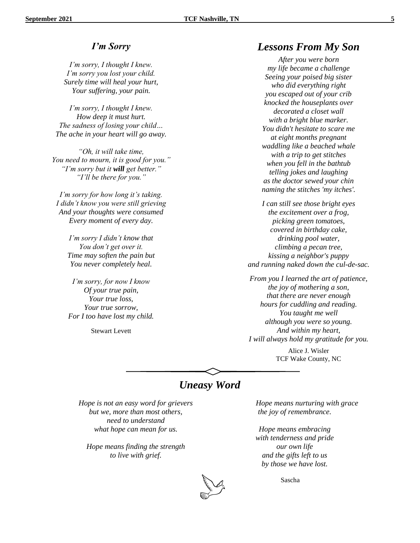#### *I'm Sorry*

*I'm sorry, I thought I knew. I'm sorry you lost your child. Surely time will heal your hurt, Your suffering, your pain.*

*I'm sorry, I thought I knew. How deep it must hurt. The sadness of losing your child… The ache in your heart will go away.*

*"Oh, it will take time, You need to mourn, it is good for you." "I'm sorry but it will get better." "I'll be there for you."*

*I'm sorry for how long it's taking. I didn't know you were still grieving And your thoughts were consumed Every moment of every day.*

*I'm sorry I didn't know that You don't get over it. Time may soften the pain but You never completely heal.*

*I'm sorry, for now I know Of your true pain, Your true loss, Your true sorrow, For I too have lost my child.*

Stewart Levett

#### *Lessons From My Son*

*After you were born my life became a challenge Seeing your poised big sister who did everything right you escaped out of your crib knocked the houseplants over decorated a closet wall with a bright blue marker. You didn't hesitate to scare me at eight months pregnant waddling like a beached whale with a trip to get stitches when you fell in the bathtub telling jokes and laughing as the doctor sewed your chin naming the stitches 'my itches'.*

*I can still see those bright eyes the excitement over a frog, picking green tomatoes, covered in birthday cake, drinking pool water, climbing a pecan tree, kissing a neighbor's puppy and running naked down the cul-de-sac.*

*From you I learned the art of patience, the joy of mothering a son, that there are never enough hours for cuddling and reading. You taught me well although you were so young. And within my heart, I will always hold my gratitude for you.*

> Alice J. Wisler TCF Wake County, NC

# *Uneasy Word*

*Hope is not an easy word for grievers but we, more than most others, need to understand what hope can mean for us.* 

*Hope means finding the strength to live with grief.*

*Hope means nurturing with grace the joy of remembrance.*

*Hope means embracing with tenderness and pride our own life and the gifts left to us by those we have lost.* 



Sascha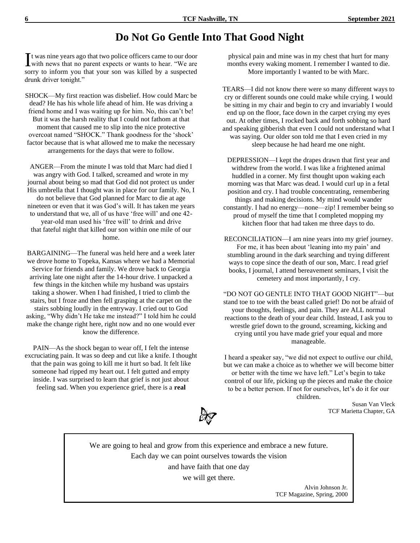# **Do Not Go Gentle Into That Good Night**

 $\mathbf{T}$  t was nine years ago that two police officers came to our door It was nine years ago that two police officers came to our door<br>with news that no parent expects or wants to hear. "We are sorry to inform you that your son was killed by a suspected drunk driver tonight."

SHOCK—My first reaction was disbelief. How could Marc be dead? He has his whole life ahead of him. He was driving a friend home and I was waiting up for him. No, this can't be! But it was the harsh reality that I could not fathom at that moment that caused me to slip into the nice protective overcoat named "SHOCK." Thank goodness for the 'shock' factor because that is what allowed me to make the necessary arrangements for the days that were to follow.

ANGER—From the minute I was told that Marc had died I was angry with God. I talked, screamed and wrote in my journal about being so mad that God did not protect us under His umbrella that I thought was in place for our family. No, I do not believe that God planned for Marc to die at age nineteen or even that it was God's will. It has taken me years to understand that we, all of us have 'free will' and one 42 year-old man used his 'free will' to drink and drive that fateful night that killed our son within one mile of our home.

BARGAINING—The funeral was held here and a week later we drove home to Topeka, Kansas where we had a Memorial Service for friends and family. We drove back to Georgia arriving late one night after the 14-hour drive. I unpacked a few things in the kitchen while my husband was upstairs taking a shower. When I had finished, I tried to climb the stairs, but I froze and then fell grasping at the carpet on the stairs sobbing loudly in the entryway. I cried out to God asking, "Why didn't He take me instead?" I told him he could make the change right here, right now and no one would ever know the difference.

PAIN—As the shock began to wear off, I felt the intense excruciating pain. It was so deep and cut like a knife. I thought that the pain was going to kill me it hurt so bad. It felt like someone had ripped my heart out. I felt gutted and empty inside. I was surprised to learn that grief is not just about feeling sad. When you experience grief, there is a **real** 

physical pain and mine was in my chest that hurt for many months every waking moment. I remember I wanted to die. More importantly I wanted to be with Marc.

TEARS—I did not know there were so many different ways to cry or different sounds one could make while crying. I would be sitting in my chair and begin to cry and invariably I would end up on the floor, face down in the carpet crying my eyes out. At other times, I rocked back and forth sobbing so hard and speaking gibberish that even I could not understand what I was saying. Our older son told me that I even cried in my sleep because he had heard me one night.

DEPRESSION—I kept the drapes drawn that first year and withdrew from the world. I was like a frightened animal huddled in a corner. My first thought upon waking each morning was that Marc was dead. I would curl up in a fetal position and cry. I had trouble concentrating, remembering things and making decisions. My mind would wander constantly. I had no energy—none—zip! I remember being so proud of myself the time that I completed mopping my kitchen floor that had taken me three days to do.

RECONCILIATION—I am nine years into my grief journey. For me, it has been about 'leaning into my pain' and stumbling around in the dark searching and trying different ways to cope since the death of our son, Marc. I read grief books, I journal, I attend bereavement seminars, I visit the cemetery and most importantly, I cry.

"DO NOT GO GENTLE INTO THAT GOOD NIGHT"—but stand toe to toe with the beast called grief! Do not be afraid of your thoughts, feelings, and pain. They are ALL normal reactions to the death of your dear child. Instead, I ask you to wrestle grief down to the ground, screaming, kicking and crying until you have made grief your equal and more manageable.

I heard a speaker say, "we did not expect to outlive our child, but we can make a choice as to whether we will become bitter or better with the time we have left." Let's begin to take control of our life, picking up the pieces and make the choice to be a better person. If not for ourselves, let's do it for our children.

Susan Van Vleck TCF Marietta Chapter, GA

We are going to heal and grow from this experience and embrace a new future. Each day we can point ourselves towards the vision and have faith that one day we will get there.

> Alvin Johnson Jr. TCF Magazine, Spring, 2000

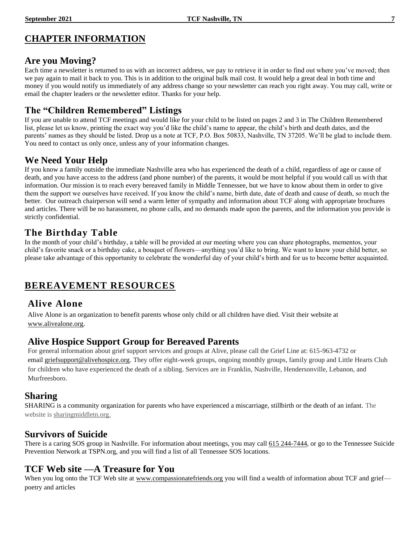# **CHAPTER INFORMATION**

#### **Are you Moving?**

Each time a newsletter is returned to us with an incorrect address, we pay to retrieve it in order to find out where you've moved; then we pay again to mail it back to you. This is in addition to the original bulk mail cost. It would help a great deal in both time and money if you would notify us immediately of any address change so your newsletter can reach you right away. You may call, write or email the chapter leaders or the newsletter editor. Thanks for your help.

# **The "Children Remembered" Listings**

If you are unable to attend TCF meetings and would like for your child to be listed on pages 2 and 3 in The Children Remembered list, please let us know, printing the exact way you'd like the child's name to appear, the child's birth and death dates, and the parents' names as they should be listed. Drop us a note at TCF, P.O. Box 50833, Nashville, TN 37205. We'll be glad to include them. You need to contact us only once, unless any of your information changes.

# **We Need Your Help**

If you know a family outside the immediate Nashville area who has experienced the death of a child, regardless of age or cause of death, and you have access to the address (and phone number) of the parents, it would be most helpful if you would call us with that information. Our mission is to reach every bereaved family in Middle Tennessee, but we have to know about them in order to give them the support we ourselves have received. If you know the child's name, birth date, date of death and cause of death, so much the better. Our outreach chairperson will send a warm letter of sympathy and information about TCF along with appropriate brochures and articles. There will be no harassment, no phone calls, and no demands made upon the parents, and the information you provide is strictly confidential.

# **The Birthday Table**

In the month of your child's birthday, a table will be provided at our meeting where you can share photographs, mementos, your child's favorite snack or a birthday cake, a bouquet of flowers—anything you'd like to bring. We want to know your child better, so please take advantage of this opportunity to celebrate the wonderful day of your child's birth and for us to become better acquainted.

# **BEREAVEMENT RESOURCES**

# **Alive Alone**

Alive Alone is an organization to benefit parents whose only child or all children have died. Visit their website at [www.alivealone.org.](http://www.alivealone.org/)

#### **Alive Hospice Support Group for Bereaved Parents**

For general information about grief support services and groups at Alive, please call the Grief Line at: 615-963-4732 or email [griefsupport@alivehospice.org.](mailto:griefsupport@alivehospice.org) They offer eight-week groups, ongoing monthly groups, family group and Little Hearts Club for children who have experienced the death of a sibling. Services are in Franklin, Nashville, Hendersonville, Lebanon, and Murfreesboro.

# **Sharing**

SHARING is a community organization for parents who have experienced a miscarriage, stillbirth or the death of an infant. The website is sharingmiddletn.org.

# **Survivors of Suicide**

There is a caring SOS group in Nashville. For information about meetings, you may call 615 244-7444, or go to the Tennessee Suicide Prevention Network at TSPN.org, and you will find a list of all Tennessee SOS locations.

# **TCF Web site —A Treasure for You**

When you log onto the TCF Web site at [www.compassionatefriends.org](http://www.compassionatefriends.org/) you will find a wealth of information about TCF and grief poetry and articles